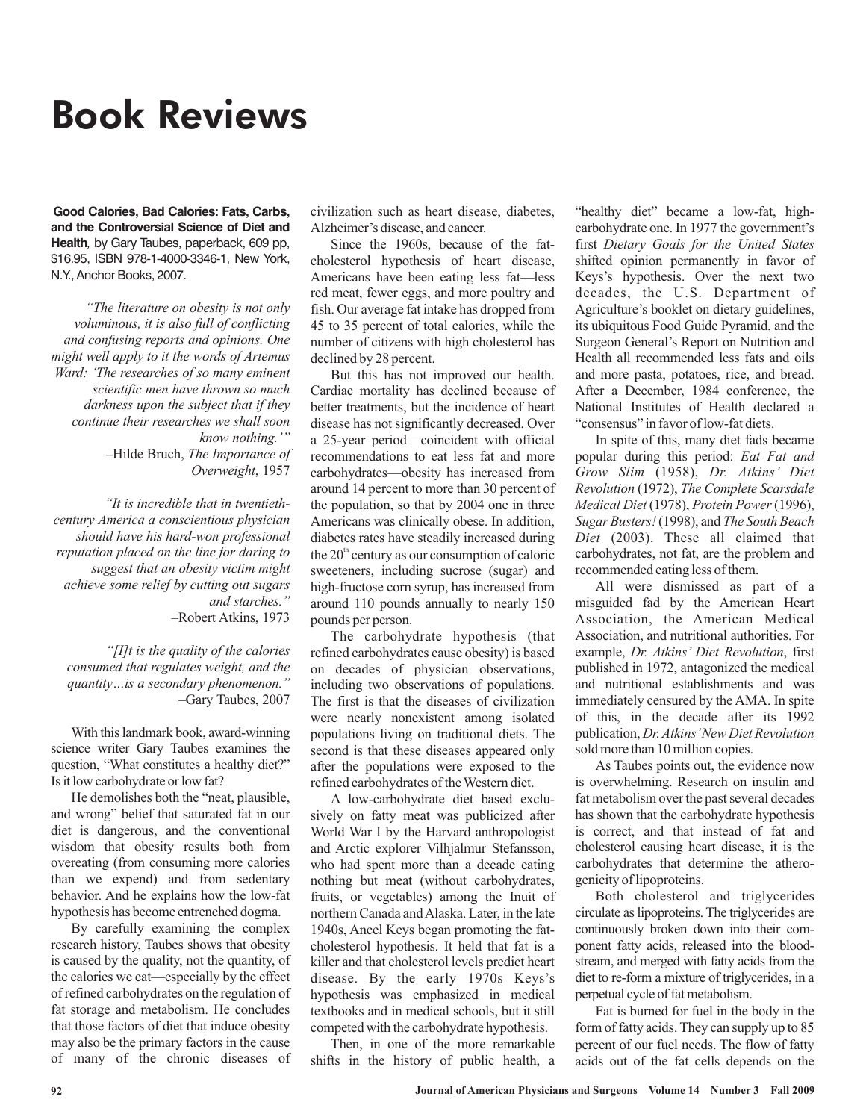## Book Reviews

**Good Calories, Bad Calories: Fats, Carbs, and the Controversial Science of Diet and Health***,* by Gary Taubes, paperback, 609 pp, \$16.95, ISBN 978-1-4000-3346-1, New York, N.Y., Anchor Books, 2007.

*"The literature on obesity is not only voluminous, it is also full of conflicting and confusing reports and opinions. One might well apply to it the words of Artemus Ward: 'The researches of so many eminent scientific men have thrown so much darkness upon the subject that if they continue their researches we shall soon know nothing.'" The Importance of* **–**Hilde Bruch, *Overweight* , 1957

*"It is incredible that in twentiethcentury America a conscientious physician should have his hard-won professional reputation placed on the line for daring to suggest that an obesity victim might achieve some relief by cutting out sugars and starches."* –Robert Atkins, 1973

*"[I]t is the quality of the calories consumed that regulates weight, and the quantity…is a secondary phenomenon."* –Gary Taubes, 2007

With this landmark book, award-winning science writer Gary Taubes examines the question, "What constitutes a healthy diet?" Is it low carbohydrate or low fat?

He demolishes both the "neat, plausible, and wrong" belief that saturated fat in our diet is dangerous, and the conventional wisdom that obesity results both from overeating (from consuming more calories than we expend) and from sedentary behavior. And he explains how the low-fat hypothesis has become entrenched dogma.

By carefully examining the complex research history, Taubes shows that obesity is caused by the quality, not the quantity, of the calories we eat—especially by the effect of refined carbohydrates on the regulation of fat storage and metabolism. He concludes that those factors of diet that induce obesity may also be the primary factors in the cause of many of the chronic diseases of civilization such as heart disease, diabetes, Alzheimer's disease, and cancer.

Since the 1960s, because of the fatcholesterol hypothesis of heart disease, Americans have been eating less fat—less red meat, fewer eggs, and more poultry and fish. Our average fat intake has dropped from 45 to 35 percent of total calories, while the number of citizens with high cholesterol has declined by 28 percent.

But this has not improved our health. Cardiac mortality has declined because of better treatments, but the incidence of heart disease has not significantly decreased. Over a 25-year period—coincident with official recommendations to eat less fat and more carbohydrates—obesity has increased from around 14 percent to more than 30 percent of the population, so that by 2004 one in three Americans was clinically obese. In addition, diabetes rates have steadily increased during the  $20<sup>th</sup>$  century as our consumption of caloric sweeteners, including sucrose (sugar) and high-fructose corn syrup, has increased from around 110 pounds annually to nearly 150 pounds per person.

The carbohydrate hypothesis (that refined carbohydrates cause obesity) is based on decades of physician observations, including two observations of populations. The first is that the diseases of civilization were nearly nonexistent among isolated populations living on traditional diets. The second is that these diseases appeared only after the populations were exposed to the refined carbohydrates of the Western diet.

A low-carbohydrate diet based exclusively on fatty meat was publicized after World War I by the Harvard anthropologist and Arctic explorer Vilhjalmur Stefansson, who had spent more than a decade eating nothing but meat (without carbohydrates, fruits, or vegetables) among the Inuit of northern Canada andAlaska. Later, in the late 1940s, Ancel Keys began promoting the fatcholesterol hypothesis. It held that fat is a killer and that cholesterol levels predict heart disease. By the early 1970s Keys's hypothesis was emphasized in medical textbooks and in medical schools, but it still competed with the carbohydrate hypothesis.

Then, in one of the more remarkable shifts in the history of public health, a "healthy diet" became a low-fat, highcarbohydrate one. In 1977 the government's first *Dietary Goals for the United States* shifted opinion permanently in favor of Keys's hypothesis. Over the next two decades, the U.S. Department of Agriculture's booklet on dietary guidelines, its ubiquitous Food Guide Pyramid, and the Surgeon General's Report on Nutrition and Health all recommended less fats and oils and more pasta, potatoes, rice, and bread. After a December, 1984 conference, the National Institutes of Health declared a "consensus" in favor of low-fat diets.

In spite of this, many diet fads became popular during this period: *Eat Fat and* Grow Slim (1958), Dr. Atkins' Diet Revolution (1972), The Complete Scarsdale *Medical Diet* (1978), Protein Power (1996), Sugar Busters! (1998), and The South Beach (2003). These all claimed that *Diet* carbohydrates, not fat, are the problem and recommended eating less of them.

All were dismissed as part of a misguided fad by the American Heart Association, the American Medical Association, and nutritional authorities. For example, *Dr. Atkins' Diet Revolution*, first published in 1972, antagonized the medical and nutritional establishments and was immediately censured by the AMA. In spite of this, in the decade after its 1992 publication, *Dr. Atkins'New Diet Revolution* sold more than 10 million copies.

As Taubes points out, the evidence now is overwhelming. Research on insulin and fat metabolism over the past several decades has shown that the carbohydrate hypothesis is correct, and that instead of fat and cholesterol causing heart disease, it is the carbohydrates that determine the atherogenicity of lipoproteins.

Both cholesterol and triglycerides circulate as lipoproteins. The triglycerides are continuously broken down into their component fatty acids, released into the bloodstream, and merged with fatty acids from the diet to re-form a mixture of triglycerides, in a perpetual cycle of fat metabolism.

Fat is burned for fuel in the body in the form of fatty acids. They can supply up to 85 percent of our fuel needs. The flow of fatty acids out of the fat cells depends on the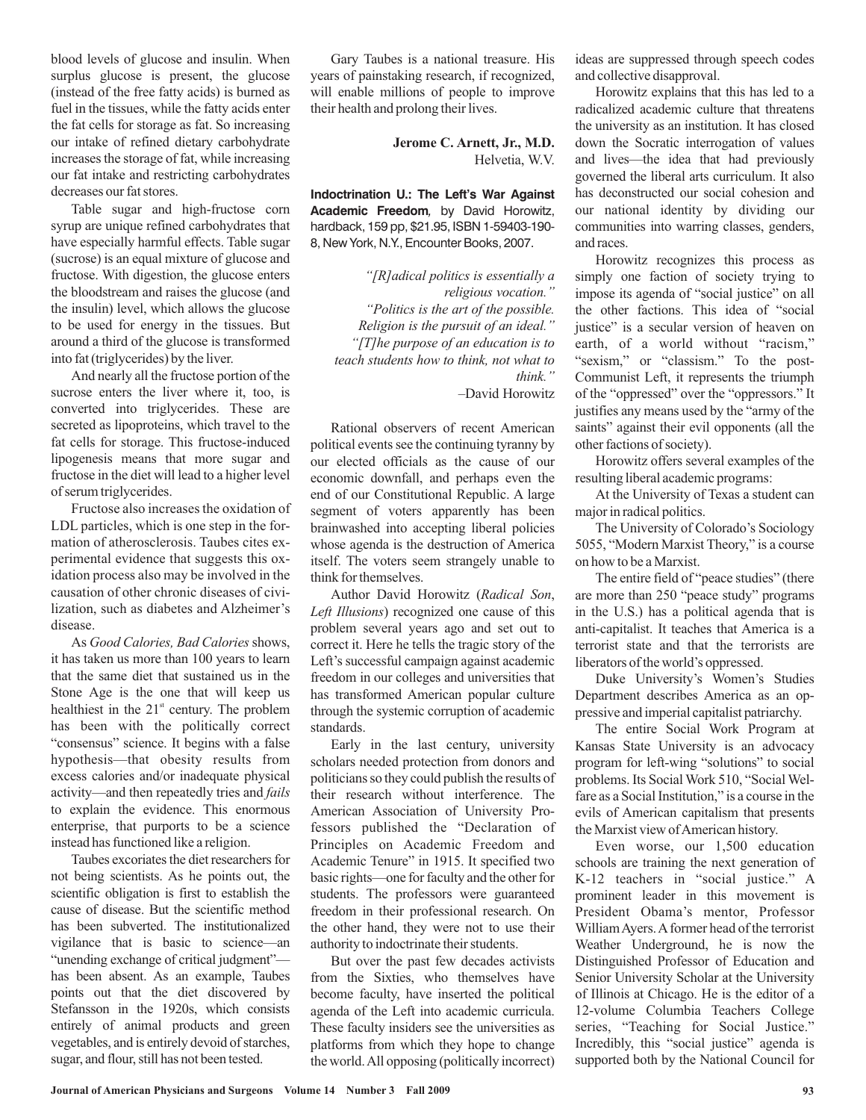blood levels of glucose and insulin. When surplus glucose is present, the glucose (instead of the free fatty acids) is burned as fuel in the tissues, while the fatty acids enter the fat cells for storage as fat. So increasing our intake of refined dietary carbohydrate increases the storage of fat, while increasing our fat intake and restricting carbohydrates decreases our fat stores.

Table sugar and high-fructose corn syrup are unique refined carbohydrates that have especially harmful effects. Table sugar (sucrose) is an equal mixture of glucose and fructose. With digestion, the glucose enters the bloodstream and raises the glucose (and the insulin) level, which allows the glucose to be used for energy in the tissues. But around a third of the glucose is transformed into fat (triglycerides) by the liver.

And nearly all the fructose portion of the sucrose enters the liver where it, too, is converted into triglycerides. These are secreted as lipoproteins, which travel to the fat cells for storage. This fructose-induced lipogenesis means that more sugar and fructose in the diet will lead to a higher level of serum triglycerides.

Fructose also increases the oxidation of LDL particles, which is one step in the formation of atherosclerosis. Taubes cites experimental evidence that suggests this oxidation process also may be involved in the causation of other chronic diseases of civilization, such as diabetes and Alzheimer's disease.

As Good Calories, Bad Calories shows, it has taken us more than 100 years to learn that the same diet that sustained us in the Stone Age is the one that will keep us healthiest in the  $21<sup>st</sup>$  century. The problem has been with the politically correct "consensus" science. It begins with a false hypothesis—that obesity results from excess calories and/or inadequate physical activity—and then repeatedly tries and *fails* to explain the evidence. This enormous enterprise, that purports to be a science instead has functioned like a religion.

Taubes excoriates the diet researchers for not being scientists. As he points out, the scientific obligation is first to establish the cause of disease. But the scientific method has been subverted. The institutionalized vigilance that is basic to science—an "unending exchange of critical judgment" has been absent. As an example, Taubes points out that the diet discovered by Stefansson in the 1920s, which consists entirely of animal products and green vegetables, and is entirely devoid of starches, sugar, and flour, still has not been tested.

Gary Taubes is a national treasure. His years of painstaking research, if recognized, will enable millions of people to improve their health and prolong their lives.

> Helvetia, W.V. **Jerome C. Arnett, Jr., M.D.**

**Indoctrination U.: The Left's War Against Academic Freedom***,* by David Horowitz, hardback, 159 pp, \$21.95, ISBN 1-59403-190- 8, New York, N.Y., Encounter Books, 2007.

*"[R]adical politics is essentially a religious vocation." "Politics is the art of the possible. Religion is the pursuit of an ideal." "[T]he purpose of an education is to teach students how to think, not what to think."*

–David Horowitz

Rational observers of recent American political events see the continuing tyranny by our elected officials as the cause of our economic downfall, and perhaps even the end of our Constitutional Republic. A large segment of voters apparently has been brainwashed into accepting liberal policies whose agenda is the destruction of America itself. The voters seem strangely unable to think for themselves.

Author David Horowitz (Radical Son, Left Illusions) recognized one cause of this problem several years ago and set out to correct it. Here he tells the tragic story of the Left's successful campaign against academic freedom in our colleges and universities that has transformed American popular culture through the systemic corruption of academic standards.

Early in the last century, university scholars needed protection from donors and politicians so they could publish the results of their research without interference. The American Association of University Professors published the "Declaration of Principles on Academic Freedom and Academic Tenure" in 1915. It specified two basic rights—one for faculty and the other for students. The professors were guaranteed freedom in their professional research. On the other hand, they were not to use their authority to indoctrinate their students.

But over the past few decades activists from the Sixties, who themselves have become faculty, have inserted the political agenda of the Left into academic curricula. These faculty insiders see the universities as platforms from which they hope to change the world.All opposing (politically incorrect) ideas are suppressed through speech codes and collective disapproval.

Horowitz explains that this has led to a radicalized academic culture that threatens the university as an institution. It has closed down the Socratic interrogation of values and lives—the idea that had previously governed the liberal arts curriculum. It also has deconstructed our social cohesion and our national identity by dividing our communities into warring classes, genders, and races.

Horowitz recognizes this process as simply one faction of society trying to impose its agenda of "social justice" on all the other factions. This idea of "social justice" is a secular version of heaven on earth, of a world without "racism," "sexism," or "classism." To the post-Communist Left, it represents the triumph of the "oppressed" over the "oppressors." It justifies any means used by the "army of the saints" against their evil opponents (all the other factions of society).

Horowitz offers several examples of the resulting liberal academic programs:

At the University of Texas a student can major in radical politics.

The University of Colorado's Sociology 5055, "Modern Marxist Theory," is a course on how to be a Marxist.

The entire field of "peace studies" (there are more than 250 "peace study" programs in the U.S.) has a political agenda that is anti-capitalist. It teaches that America is a terrorist state and that the terrorists are liberators of the world's oppressed.

Duke University's Women's Studies Department describes America as an oppressive and imperial capitalist patriarchy.

The entire Social Work Program at Kansas State University is an advocacy program for left-wing "solutions" to social problems. Its Social Work 510, "Social Welfare as a Social Institution," is a course in the evils of American capitalism that presents the Marxist view of American history.

Even worse, our 1,500 education schools are training the next generation of K-12 teachers in "social justice." A prominent leader in this movement is President Obama's mentor, Professor WilliamAyers.Aformer head of the terrorist Weather Underground, he is now the Distinguished Professor of Education and Senior University Scholar at the University of Illinois at Chicago. He is the editor of a 12-volume Columbia Teachers College series, "Teaching for Social Justice." Incredibly, this "social justice" agenda is supported both by the National Council for